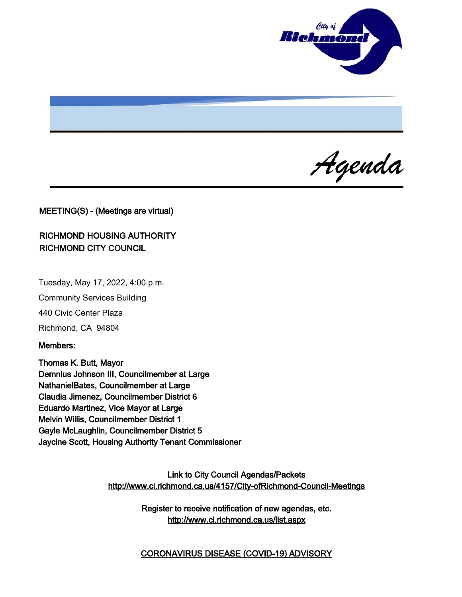

Agenda

MEETING(S) - (Meetings are virtual)

## RICHMOND HOUSING AUTHORITY RICHMOND CITY COUNCIL

Tuesday, May 17, 2022, 4:00 p.m.

Community Services Building

440 Civic Center Plaza

Richmond, CA 94804

Members:

Thomas K. Butt, Mayor Demnlus Johnson III, Councilmember at Large NathanielBates, Councilmember at Large Claudia Jimenez, Councilmember District 6 Eduardo Martinez, Vice Mayor at Large Melvin Willis, Councilmember District 1 Gayle McLaughlin, Councilmember District 5 Jaycine Scott, Housing Authority Tenant Commissioner

> Link to City Council Agendas/Packets <http://www.ci.richmond.ca.us/4157/City-ofRichmond-Council-Meetings>

> > Register to receive notification of new agendas, etc. <http://www.ci.richmond.ca.us/list.aspx>

> > CORONAVIRUS DISEASE (COVID-19) ADVISORY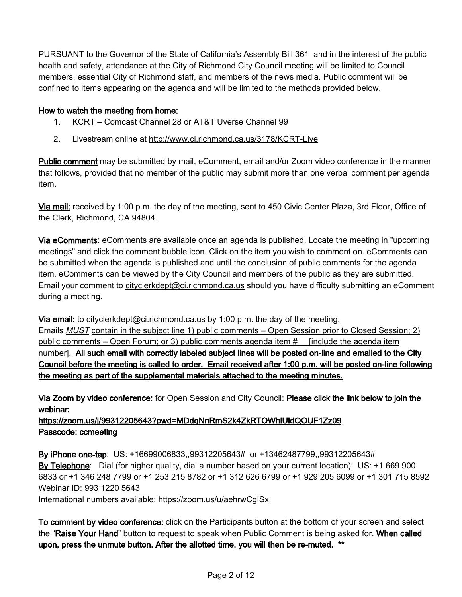PURSUANT to the Governor of the State of California's Assembly Bill 361 and in the interest of the public health and safety, attendance at the City of Richmond City Council meeting will be limited to Council members, essential City of Richmond staff, and members of the news media. Public comment will be confined to items appearing on the agenda and will be limited to the methods provided below.

## How to watch the meeting from home:

- 1. KCRT Comcast Channel 28 or AT&T Uverse Channel 99
- 2. Livestream online at <http://www.ci.richmond.ca.us/3178/KCRT-Live>

Public comment may be submitted by mail, eComment, email and/or Zoom video conference in the manner that follows, provided that no member of the public may submit more than one verbal comment per agenda item.

Via mail: received by 1:00 p.m. the day of the meeting, sent to 450 Civic Center Plaza, 3rd Floor, Office of the Clerk, Richmond, CA 94804.

Via eComments: eComments are available once an agenda is published. Locate the meeting in "upcoming meetings" and click the comment bubble icon. Click on the item you wish to comment on. eComments can be submitted when the agenda is published and until the conclusion of public comments for the agenda item. eComments can be viewed by the City Council and members of the public as they are submitted. Email your comment to [cityclerkdept@ci.richmond.ca.us](mailto:cityclerkdept@ci.richmond.ca.us) should you have difficulty submitting an eComment during a meeting.

Via email: to [cityclerkdept@ci.richmond.ca.us](mailto:cityclerkdept@ci.richmond.ca.us) by 1:00 p.m. the day of the meeting. Emails **MUST** contain in the subject line 1) public comments – Open Session prior to Closed Session; 2) public comments – Open Forum; or 3) public comments agenda item # [include the agenda item number]. All such email with correctly labeled subject lines will be posted on-line and emailed to the City Council before the meeting is called to order. Email received after 1:00 p.m. will be posted on-line following the meeting as part of the supplemental materials attached to the meeting minutes.

Via Zoom by video conference: for Open Session and City Council: Please click the link below to join the webinar:

https://zoom.us/j/99312205643?pwd=MDdqNnRmS2k4ZkRTOWhlUldQOUF1Zz09 Passcode: ccmeeting

By iPhone one-tap: US: +16699006833,,99312205643# or +13462487799,,99312205643# By Telephone: Dial (for higher quality, dial a number based on your current location): US: +1 669 900 6833 or +1 346 248 7799 or +1 253 215 8782 or +1 312 626 6799 or +1 929 205 6099 or +1 301 715 8592 Webinar ID: 993 1220 5643

International numbers available: <https://zoom.us/u/aehrwCgISx>

To comment by video conference: click on the Participants button at the bottom of your screen and select the "Raise Your Hand" button to request to speak when Public Comment is being asked for. When called upon, press the unmute button. After the allotted time, you will then be re-muted. \*\*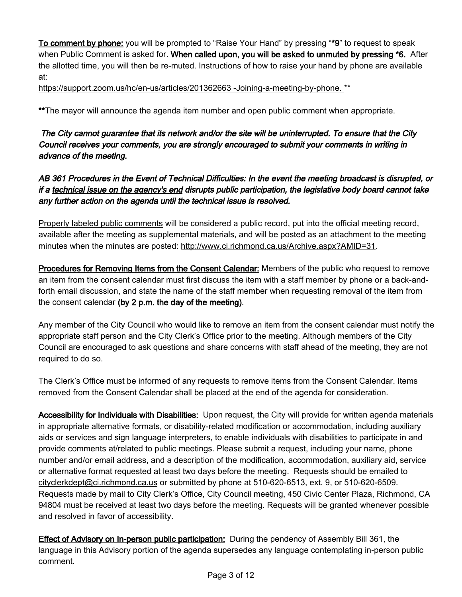To comment by phone: you will be prompted to "Raise Your Hand" by pressing "\*9" to request to speak when Public Comment is asked for. When called upon, you will be asked to unmuted by pressing \*6. After the allotted time, you will then be re-muted. Instructions of how to raise your hand by phone are available at:

[https://support.zoom.us/hc/en-us/articles/201362663 -Joining-a-meeting-by-phone.](https://support.zoom.us/hc/en-us/articles/201362663%20-Joining-a-meeting-by-phone.) \*\*

\*\*The mayor will announce the agenda item number and open public comment when appropriate.

The City cannot guarantee that its network and/or the site will be uninterrupted. To ensure that the City Council receives your comments, you are strongly encouraged to submit your comments in writing in advance of the meeting.

AB 361 Procedures in the Event of Technical Difficulties: In the event the meeting broadcast is disrupted, or if a technical issue on the agency's end disrupts public participation, the legislative body board cannot take any further action on the agenda until the technical issue is resolved.

Properly labeled public comments will be considered a public record, put into the official meeting record, available after the meeting as supplemental materials, and will be posted as an attachment to the meeting minutes when the minutes are posted: [http://www.ci.richmond.ca.us/Archive.aspx?AMID=31.](http://www.ci.richmond.ca.us/Archive.aspx?AMID=31)

**Procedures for Removing Items from the Consent Calendar:** Members of the public who request to remove an item from the consent calendar must first discuss the item with a staff member by phone or a back-andforth email discussion, and state the name of the staff member when requesting removal of the item from the consent calendar (by 2 p.m. the day of the meeting).

Any member of the City Council who would like to remove an item from the consent calendar must notify the appropriate staff person and the City Clerk's Office prior to the meeting. Although members of the City Council are encouraged to ask questions and share concerns with staff ahead of the meeting, they are not required to do so.

The Clerk's Office must be informed of any requests to remove items from the Consent Calendar. Items removed from the Consent Calendar shall be placed at the end of the agenda for consideration.

Accessibility for Individuals with Disabilities: Upon request, the City will provide for written agenda materials in appropriate alternative formats, or disability-related modification or accommodation, including auxiliary aids or services and sign language interpreters, to enable individuals with disabilities to participate in and provide comments at/related to public meetings. Please submit a request, including your name, phone number and/or email address, and a description of the modification, accommodation, auxiliary aid, service or alternative format requested at least two days before the meeting. Requests should be emailed to [cityclerkdept@ci.richmond.ca.us](mailto:cityclerkdept@ci.richmond.ca.us) or submitted by phone at 510-620-6513, ext. 9, or 510-620-6509. Requests made by mail to City Clerk's Office, City Council meeting, 450 Civic Center Plaza, Richmond, CA 94804 must be received at least two days before the meeting. Requests will be granted whenever possible and resolved in favor of accessibility.

**Effect of Advisory on In-person public participation:** During the pendency of Assembly Bill 361, the language in this Advisory portion of the agenda supersedes any language contemplating in-person public comment.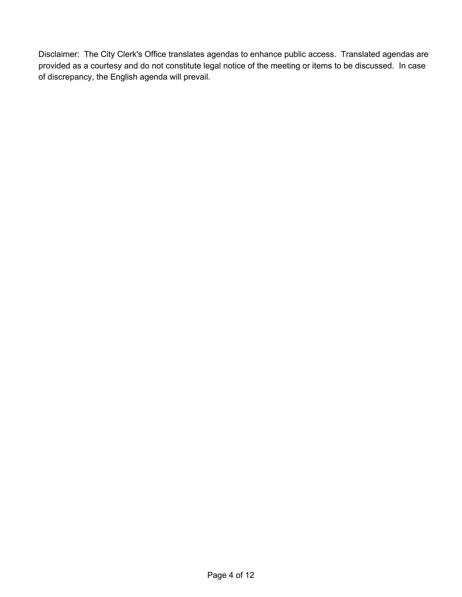Disclaimer: The City Clerk's Office translates agendas to enhance public access. Translated agendas are provided as a courtesy and do not constitute legal notice of the meeting or items to be discussed. In case of discrepancy, the English agenda will prevail.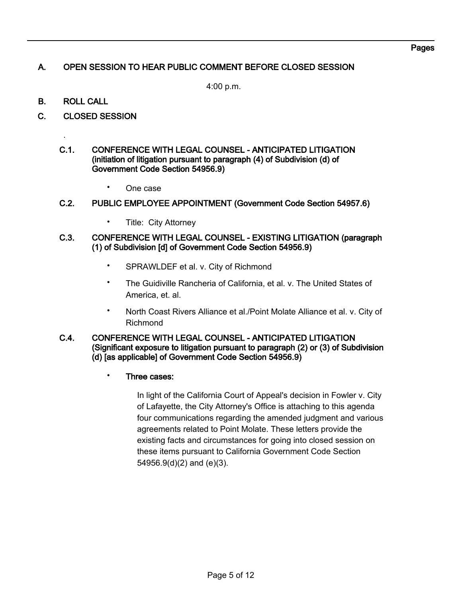# A. OPEN SESSION TO HEAR PUBLIC COMMENT BEFORE CLOSED SESSION

4:00 p.m.

B. ROLL CALL

.

- C. CLOSED SESSION
	- C.1. CONFERENCE WITH LEGAL COUNSEL ANTICIPATED LITIGATION (initiation of litigation pursuant to paragraph (4) of Subdivision (d) of Government Code Section 54956.9)
		- One case

#### C.2. PUBLIC EMPLOYEE APPOINTMENT (Government Code Section 54957.6)

• Title: City Attorney

#### C.3. CONFERENCE WITH LEGAL COUNSEL - EXISTING LITIGATION (paragraph (1) of Subdivision [d] of Government Code Section 54956.9)

- SPRAWLDEF et al. v. City of Richmond
- The Guidiville Rancheria of California, et al. v. The United States of America, et. al.
- North Coast Rivers Alliance et al./Point Molate Alliance et al. v. City of Richmond

#### C.4. CONFERENCE WITH LEGAL COUNSEL - ANTICIPATED LITIGATION (Significant exposure to litigation pursuant to paragraph (2) or (3) of Subdivision (d) [as applicable] of Government Code Section 54956.9)

• Three cases:

In light of the California Court of Appeal's decision in Fowler v. City of Lafayette, the City Attorney's Office is attaching to this agenda four communications regarding the amended judgment and various agreements related to Point Molate. These letters provide the existing facts and circumstances for going into closed session on these items pursuant to California Government Code Section 54956.9(d)(2) and (e)(3).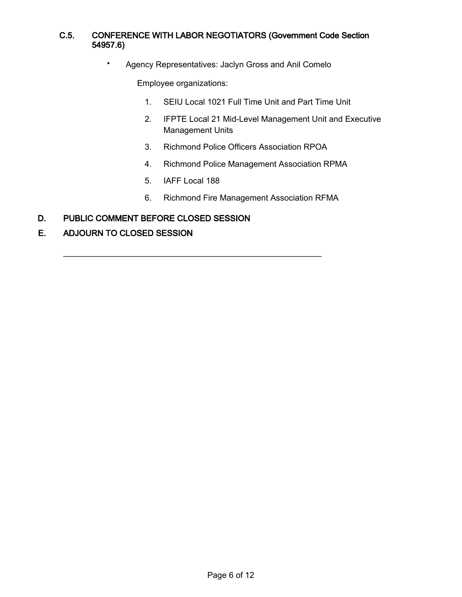### C.5. CONFERENCE WITH LABOR NEGOTIATORS (Government Code Section 54957.6)

• Agency Representatives: Jaclyn Gross and Anil Comelo

Employee organizations:

- 1. SEIU Local 1021 Full Time Unit and Part Time Unit
- 2. IFPTE Local 21 Mid-Level Management Unit and Executive Management Units
- 3. Richmond Police Officers Association RPOA
- 4. Richmond Police Management Association RPMA
- 5. IAFF Local 188

\_\_\_\_\_\_\_\_\_\_\_\_\_\_\_\_\_\_\_\_\_\_\_\_\_\_\_\_\_\_\_\_\_\_\_\_\_\_\_\_\_\_\_\_\_\_\_\_\_\_\_\_\_\_\_\_

- 6. Richmond Fire Management Association RFMA
- D. PUBLIC COMMENT BEFORE CLOSED SESSION
- E. ADJOURN TO CLOSED SESSION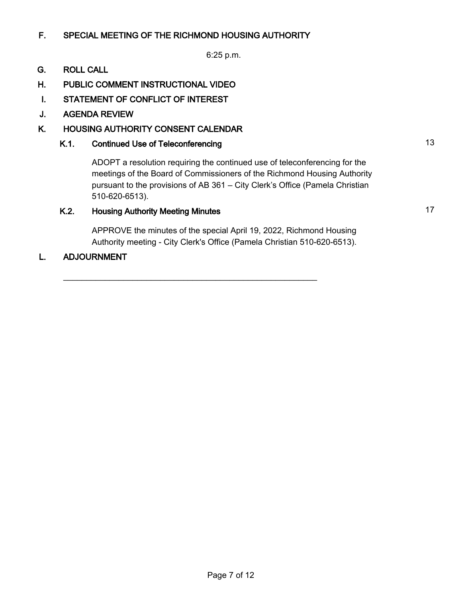## F. SPECIAL MEETING OF THE RICHMOND HOUSING AUTHORITY

6:25 p.m.

#### G. ROLL CALL

- H. PUBLIC COMMENT INSTRUCTIONAL VIDEO
- I. STATEMENT OF CONFLICT OF INTEREST
- J. AGENDA REVIEW

### K. HOUSING AUTHORITY CONSENT CALENDAR

## K.1. Continued Use of Teleconferencing 13

ADOPT a resolution requiring the continued use of teleconferencing for the meetings of the Board of Commissioners of the Richmond Housing Authority pursuant to the provisions of AB 361 – City Clerk's Office (Pamela Christian 510-620-6513).

# K.2. Housing Authority Meeting Minutes **17** Authority Meeting Minutes **17**

APPROVE the minutes of the special April 19, 2022, Richmond Housing Authority meeting - City Clerk's Office (Pamela Christian 510-620-6513).

\_\_\_\_\_\_\_\_\_\_\_\_\_\_\_\_\_\_\_\_\_\_\_\_\_\_\_\_\_\_\_\_\_\_\_\_\_\_\_\_\_\_\_\_\_\_\_\_\_\_\_\_\_\_\_

#### L. ADJOURNMENT

Page 7 of 12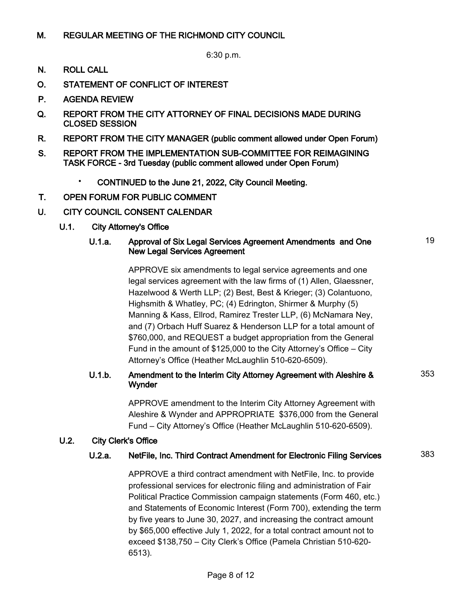### M. REGULAR MEETING OF THE RICHMOND CITY COUNCIL

6:30 p.m.

- N. ROLL CALL
- O. STATEMENT OF CONFLICT OF INTEREST
- P. AGENDA REVIEW
- Q. REPORT FROM THE CITY ATTORNEY OF FINAL DECISIONS MADE DURING CLOSED SESSION
- R. REPORT FROM THE CITY MANAGER (public comment allowed under Open Forum)
- S. REPORT FROM THE IMPLEMENTATION SUB-COMMITTEE FOR REIMAGINING TASK FORCE - 3rd Tuesday (public comment allowed under Open Forum)
	- CONTINUED to the June 21, 2022, City Council Meeting.
- T. OPEN FORUM FOR PUBLIC COMMENT
- U. CITY COUNCIL CONSENT CALENDAR
	- U.1. City Attorney's Office

#### U.1.a. Approval of Six Legal Services Agreement Amendments and One New Legal Services Agreement

APPROVE six amendments to legal service agreements and one legal services agreement with the law firms of (1) Allen, Glaessner, Hazelwood & Werth LLP; (2) Best, Best & Krieger; (3) Colantuono, Highsmith & Whatley, PC; (4) Edrington, Shirmer & Murphy (5) Manning & Kass, Ellrod, Ramirez Trester LLP, (6) McNamara Ney, and (7) Orbach Huff Suarez & Henderson LLP for a total amount of \$760,000, and REQUEST a budget appropriation from the General Fund in the amount of \$125,000 to the City Attorney's Office – City Attorney's Office (Heather McLaughlin 510-620-6509).

### U.1.b. Amendment to the Interim City Attorney Agreement with Aleshire & Wynder

APPROVE amendment to the Interim City Attorney Agreement with Aleshire & Wynder and APPROPRIATE \$376,000 from the General Fund – City Attorney's Office (Heather McLaughlin 510-620-6509).

### U.2. City Clerk's Office

### U.2.a. NetFile, Inc. Third Contract Amendment for Electronic Filing Services 383

APPROVE a third contract amendment with NetFile, Inc. to provide professional services for electronic filing and administration of Fair Political Practice Commission campaign statements (Form 460, etc.) and Statements of Economic Interest (Form 700), extending the term by five years to June 30, 2027, and increasing the contract amount by \$65,000 effective July 1, 2022, for a total contract amount not to exceed \$138,750 – City Clerk's Office (Pamela Christian 510-620- 6513).

19

353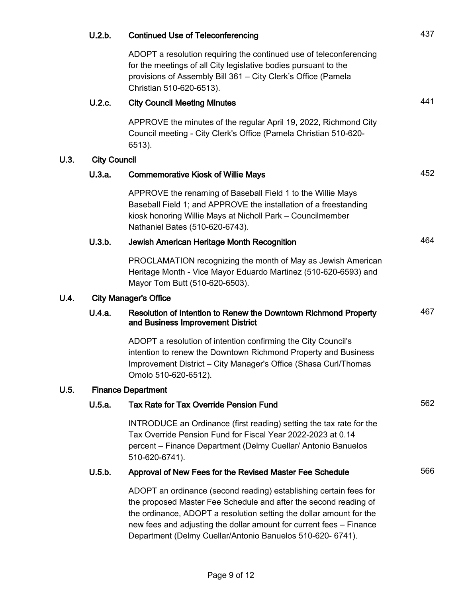|      | U.2.b.                       | <b>Continued Use of Teleconferencing</b>                                                                                                                                                                                                                                                                                                          | 437 |  |  |
|------|------------------------------|---------------------------------------------------------------------------------------------------------------------------------------------------------------------------------------------------------------------------------------------------------------------------------------------------------------------------------------------------|-----|--|--|
|      |                              | ADOPT a resolution requiring the continued use of teleconferencing<br>for the meetings of all City legislative bodies pursuant to the<br>provisions of Assembly Bill 361 - City Clerk's Office (Pamela<br>Christian 510-620-6513).                                                                                                                |     |  |  |
|      | U.2.c.                       | <b>City Council Meeting Minutes</b>                                                                                                                                                                                                                                                                                                               | 441 |  |  |
|      |                              | APPROVE the minutes of the regular April 19, 2022, Richmond City<br>Council meeting - City Clerk's Office (Pamela Christian 510-620-<br>6513).                                                                                                                                                                                                    |     |  |  |
| U.3. | <b>City Council</b>          |                                                                                                                                                                                                                                                                                                                                                   |     |  |  |
|      | U.3.a.                       | <b>Commemorative Kiosk of Willie Mays</b>                                                                                                                                                                                                                                                                                                         | 452 |  |  |
|      |                              | APPROVE the renaming of Baseball Field 1 to the Willie Mays<br>Baseball Field 1; and APPROVE the installation of a freestanding<br>kiosk honoring Willie Mays at Nicholl Park - Councilmember<br>Nathaniel Bates (510-620-6743).                                                                                                                  |     |  |  |
|      | U.3.b.                       | Jewish American Heritage Month Recognition                                                                                                                                                                                                                                                                                                        | 464 |  |  |
|      |                              | PROCLAMATION recognizing the month of May as Jewish American<br>Heritage Month - Vice Mayor Eduardo Martinez (510-620-6593) and<br>Mayor Tom Butt (510-620-6503).                                                                                                                                                                                 |     |  |  |
| U.4. | <b>City Manager's Office</b> |                                                                                                                                                                                                                                                                                                                                                   |     |  |  |
|      | U.4.a.                       | Resolution of Intention to Renew the Downtown Richmond Property<br>and Business Improvement District                                                                                                                                                                                                                                              | 467 |  |  |
|      |                              | ADOPT a resolution of intention confirming the City Council's<br>intention to renew the Downtown Richmond Property and Business<br>Improvement District - City Manager's Office (Shasa Curl/Thomas<br>Omolo 510-620-6512).                                                                                                                        |     |  |  |
| U.5. | <b>Finance Department</b>    |                                                                                                                                                                                                                                                                                                                                                   |     |  |  |
|      | U.5.a.                       | <b>Tax Rate for Tax Override Pension Fund</b>                                                                                                                                                                                                                                                                                                     | 562 |  |  |
|      |                              | INTRODUCE an Ordinance (first reading) setting the tax rate for the<br>Tax Override Pension Fund for Fiscal Year 2022-2023 at 0.14<br>percent - Finance Department (Delmy Cuellar/ Antonio Banuelos<br>510-620-6741).                                                                                                                             |     |  |  |
|      | U.5.b.                       | Approval of New Fees for the Revised Master Fee Schedule                                                                                                                                                                                                                                                                                          | 566 |  |  |
|      |                              | ADOPT an ordinance (second reading) establishing certain fees for<br>the proposed Master Fee Schedule and after the second reading of<br>the ordinance, ADOPT a resolution setting the dollar amount for the<br>new fees and adjusting the dollar amount for current fees - Finance<br>Department (Delmy Cuellar/Antonio Banuelos 510-620- 6741). |     |  |  |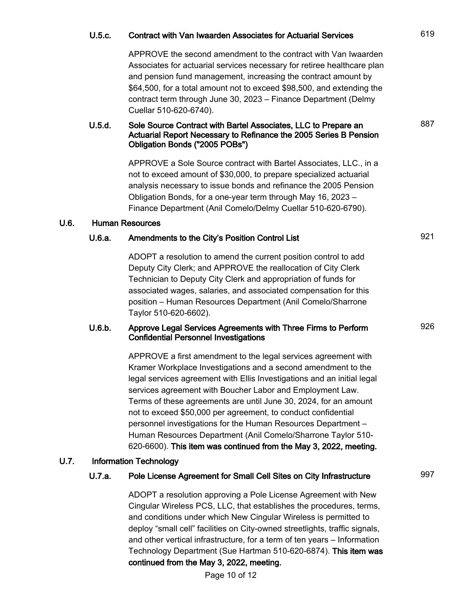## U.5.c. Contract with Van Iwaarden Associates for Actuarial Services 619

APPROVE the second amendment to the contract with Van Iwaarden Associates for actuarial services necessary for retiree healthcare plan and pension fund management, increasing the contract amount by \$64,500, for a total amount not to exceed \$98,500, and extending the contract term through June 30, 2023 – Finance Department (Delmy Cuellar 510-620-6740).

#### U.5.d. Sole Source Contract with Bartel Associates, LLC to Prepare an Actuarial Report Necessary to Refinance the 2005 Series B Pension Obligation Bonds ("2005 POBs")

APPROVE a Sole Source contract with Bartel Associates, LLC., in a not to exceed amount of \$30,000, to prepare specialized actuarial analysis necessary to issue bonds and refinance the 2005 Pension Obligation Bonds, for a one-year term through May 16, 2023 – Finance Department (Anil Comelo/Delmy Cuellar 510-620-6790).

#### U.6. Human Resources

## U.6.a. Amendments to the City's Position Control List 921

ADOPT a resolution to amend the current position control to add Deputy City Clerk; and APPROVE the reallocation of City Clerk Technician to Deputy City Clerk and appropriation of funds for associated wages, salaries, and associated compensation for this position – Human Resources Department (Anil Comelo/Sharrone Taylor 510-620-6602).

#### U.6.b. Approve Legal Services Agreements with Three Firms to Perform Confidential Personnel Investigations

APPROVE a first amendment to the legal services agreement with Kramer Workplace Investigations and a second amendment to the legal services agreement with Ellis Investigations and an initial legal services agreement with Boucher Labor and Employment Law. Terms of these agreements are until June 30, 2024, for an amount not to exceed \$50,000 per agreement, to conduct confidential personnel investigations for the Human Resources Department – Human Resources Department (Anil Comelo/Sharrone Taylor 510- 620-6600). This item was continued from the May 3, 2022, meeting.

#### U.7. Information Technology

## U.7.a. Pole License Agreement for Small Cell Sites on City Infrastructure 997

ADOPT a resolution approving a Pole License Agreement with New Cingular Wireless PCS, LLC, that establishes the procedures, terms, and conditions under which New Cingular Wireless is permitted to deploy "small cell" facilities on City-owned streetlights, traffic signals, and other vertical infrastructure, for a term of ten years – Information Technology Department (Sue Hartman 510-620-6874). This item was continued from the May 3, 2022, meeting.

Page 10 of 12

887

926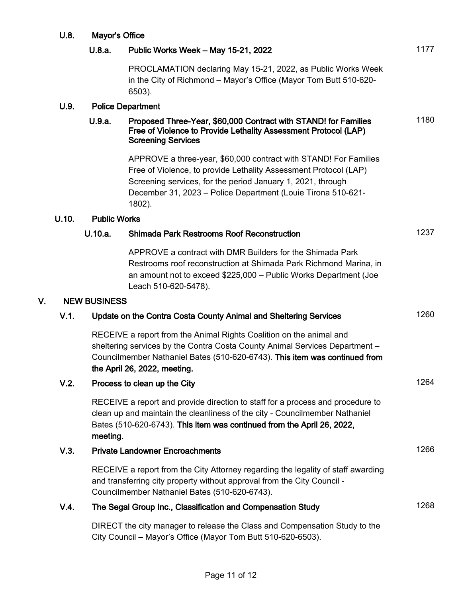|    | U.8.  | Mayor's Office           |                                                                                                                                                                                                                                                                               |      |
|----|-------|--------------------------|-------------------------------------------------------------------------------------------------------------------------------------------------------------------------------------------------------------------------------------------------------------------------------|------|
|    |       | U.8.a.                   | Public Works Week - May 15-21, 2022                                                                                                                                                                                                                                           | 1177 |
|    |       |                          | PROCLAMATION declaring May 15-21, 2022, as Public Works Week<br>in the City of Richmond - Mayor's Office (Mayor Tom Butt 510-620-<br>6503).                                                                                                                                   |      |
|    | U.9.  | <b>Police Department</b> |                                                                                                                                                                                                                                                                               |      |
|    |       | U.9.a.                   | Proposed Three-Year, \$60,000 Contract with STAND! for Families<br>Free of Violence to Provide Lethality Assessment Protocol (LAP)<br><b>Screening Services</b>                                                                                                               | 1180 |
|    |       |                          | APPROVE a three-year, \$60,000 contract with STAND! For Families<br>Free of Violence, to provide Lethality Assessment Protocol (LAP)<br>Screening services, for the period January 1, 2021, through<br>December 31, 2023 - Police Department (Louie Tirona 510-621-<br>1802). |      |
|    | U.10. | <b>Public Works</b>      |                                                                                                                                                                                                                                                                               |      |
|    |       | U.10.a.                  | <b>Shimada Park Restrooms Roof Reconstruction</b>                                                                                                                                                                                                                             | 1237 |
|    |       |                          | APPROVE a contract with DMR Builders for the Shimada Park<br>Restrooms roof reconstruction at Shimada Park Richmond Marina, in<br>an amount not to exceed \$225,000 - Public Works Department (Joe<br>Leach 510-620-5478).                                                    |      |
| V. |       | <b>NEW BUSINESS</b>      |                                                                                                                                                                                                                                                                               |      |
|    | V.1.  |                          | Update on the Contra Costa County Animal and Sheltering Services                                                                                                                                                                                                              | 1260 |
|    |       |                          | RECEIVE a report from the Animal Rights Coalition on the animal and<br>sheltering services by the Contra Costa County Animal Services Department -<br>Councilmember Nathaniel Bates (510-620-6743). This item was continued from<br>the April 26, 2022, meeting.              |      |
|    | V.2.  |                          | Process to clean up the City                                                                                                                                                                                                                                                  | 1264 |
|    |       | meeting.                 | RECEIVE a report and provide direction to staff for a process and procedure to<br>clean up and maintain the cleanliness of the city - Councilmember Nathaniel<br>Bates (510-620-6743). This item was continued from the April 26, 2022,                                       |      |
|    | V.3.  |                          | <b>Private Landowner Encroachments</b>                                                                                                                                                                                                                                        | 1266 |
|    |       |                          | RECEIVE a report from the City Attorney regarding the legality of staff awarding<br>and transferring city property without approval from the City Council -<br>Councilmember Nathaniel Bates (510-620-6743).                                                                  |      |
|    | V.4.  |                          | The Segal Group Inc., Classification and Compensation Study                                                                                                                                                                                                                   | 1268 |
|    |       |                          | DIRECT the city manager to release the Class and Compensation Study to the<br>City Council - Mayor's Office (Mayor Tom Butt 510-620-6503).                                                                                                                                    |      |
|    |       |                          |                                                                                                                                                                                                                                                                               |      |